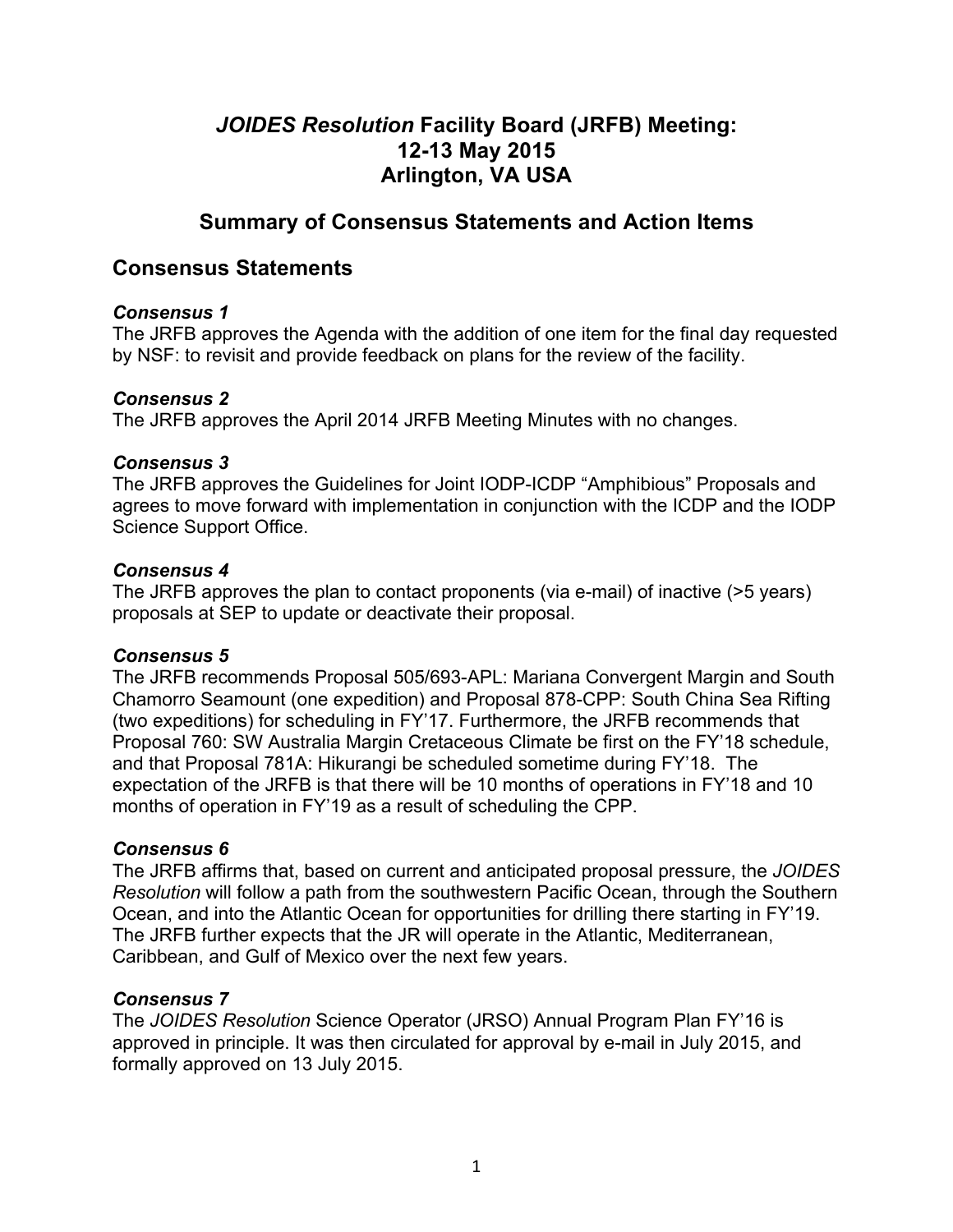# *JOIDES Resolution* **Facility Board (JRFB) Meeting: 12-13 May 2015 Arlington, VA USA**

# **Summary of Consensus Statements and Action Items**

## **Consensus Statements**

#### *Consensus 1*

The JRFB approves the Agenda with the addition of one item for the final day requested by NSF: to revisit and provide feedback on plans for the review of the facility.

#### *Consensus 2*

The JRFB approves the April 2014 JRFB Meeting Minutes with no changes.

#### *Consensus 3*

The JRFB approves the Guidelines for Joint IODP-ICDP "Amphibious" Proposals and agrees to move forward with implementation in conjunction with the ICDP and the IODP Science Support Office.

#### *Consensus 4*

The JRFB approves the plan to contact proponents (via e-mail) of inactive (>5 years) proposals at SEP to update or deactivate their proposal.

### *Consensus 5*

The JRFB recommends Proposal 505/693-APL: Mariana Convergent Margin and South Chamorro Seamount (one expedition) and Proposal 878-CPP: South China Sea Rifting (two expeditions) for scheduling in FY'17. Furthermore, the JRFB recommends that Proposal 760: SW Australia Margin Cretaceous Climate be first on the FY'18 schedule, and that Proposal 781A: Hikurangi be scheduled sometime during FY'18. The expectation of the JRFB is that there will be 10 months of operations in FY'18 and 10 months of operation in FY'19 as a result of scheduling the CPP.

### *Consensus 6*

The JRFB affirms that, based on current and anticipated proposal pressure, the *JOIDES Resolution* will follow a path from the southwestern Pacific Ocean, through the Southern Ocean, and into the Atlantic Ocean for opportunities for drilling there starting in FY'19. The JRFB further expects that the JR will operate in the Atlantic, Mediterranean, Caribbean, and Gulf of Mexico over the next few years.

### *Consensus 7*

The *JOIDES Resolution* Science Operator (JRSO) Annual Program Plan FY'16 is approved in principle. It was then circulated for approval by e-mail in July 2015, and formally approved on 13 July 2015.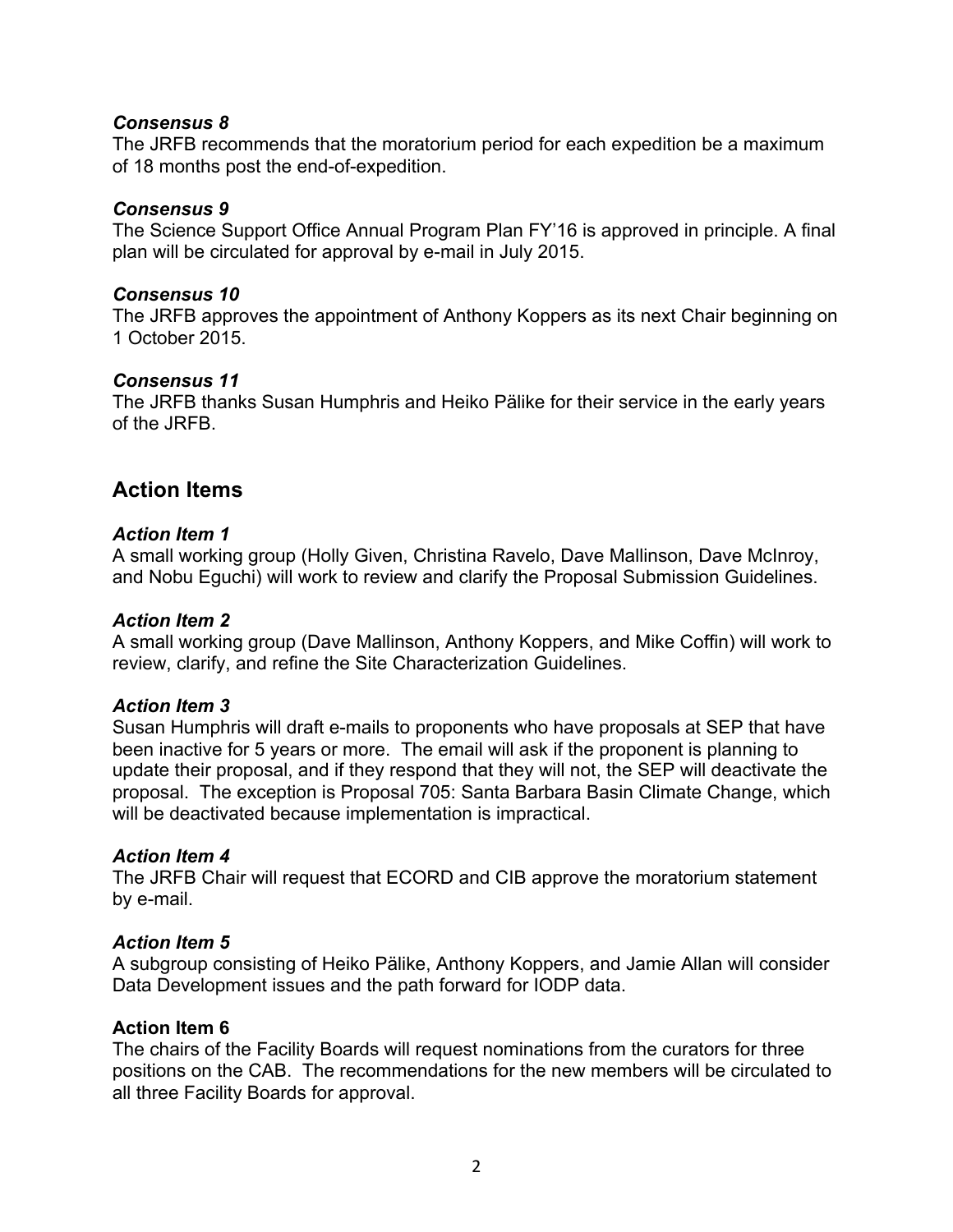#### *Consensus 8*

The JRFB recommends that the moratorium period for each expedition be a maximum of 18 months post the end-of-expedition.

#### *Consensus 9*

The Science Support Office Annual Program Plan FY'16 is approved in principle. A final plan will be circulated for approval by e-mail in July 2015.

#### *Consensus 10*

The JRFB approves the appointment of Anthony Koppers as its next Chair beginning on 1 October 2015.

#### *Consensus 11*

The JRFB thanks Susan Humphris and Heiko Pälike for their service in the early years of the JRFB.

## **Action Items**

#### *Action Item 1*

A small working group (Holly Given, Christina Ravelo, Dave Mallinson, Dave McInroy, and Nobu Eguchi) will work to review and clarify the Proposal Submission Guidelines.

#### *Action Item 2*

A small working group (Dave Mallinson, Anthony Koppers, and Mike Coffin) will work to review, clarify, and refine the Site Characterization Guidelines.

#### *Action Item 3*

Susan Humphris will draft e-mails to proponents who have proposals at SEP that have been inactive for 5 years or more. The email will ask if the proponent is planning to update their proposal, and if they respond that they will not, the SEP will deactivate the proposal. The exception is Proposal 705: Santa Barbara Basin Climate Change, which will be deactivated because implementation is impractical.

#### *Action Item 4*

The JRFB Chair will request that ECORD and CIB approve the moratorium statement by e-mail.

#### *Action Item 5*

A subgroup consisting of Heiko Pälike, Anthony Koppers, and Jamie Allan will consider Data Development issues and the path forward for IODP data.

#### **Action Item 6**

The chairs of the Facility Boards will request nominations from the curators for three positions on the CAB. The recommendations for the new members will be circulated to all three Facility Boards for approval.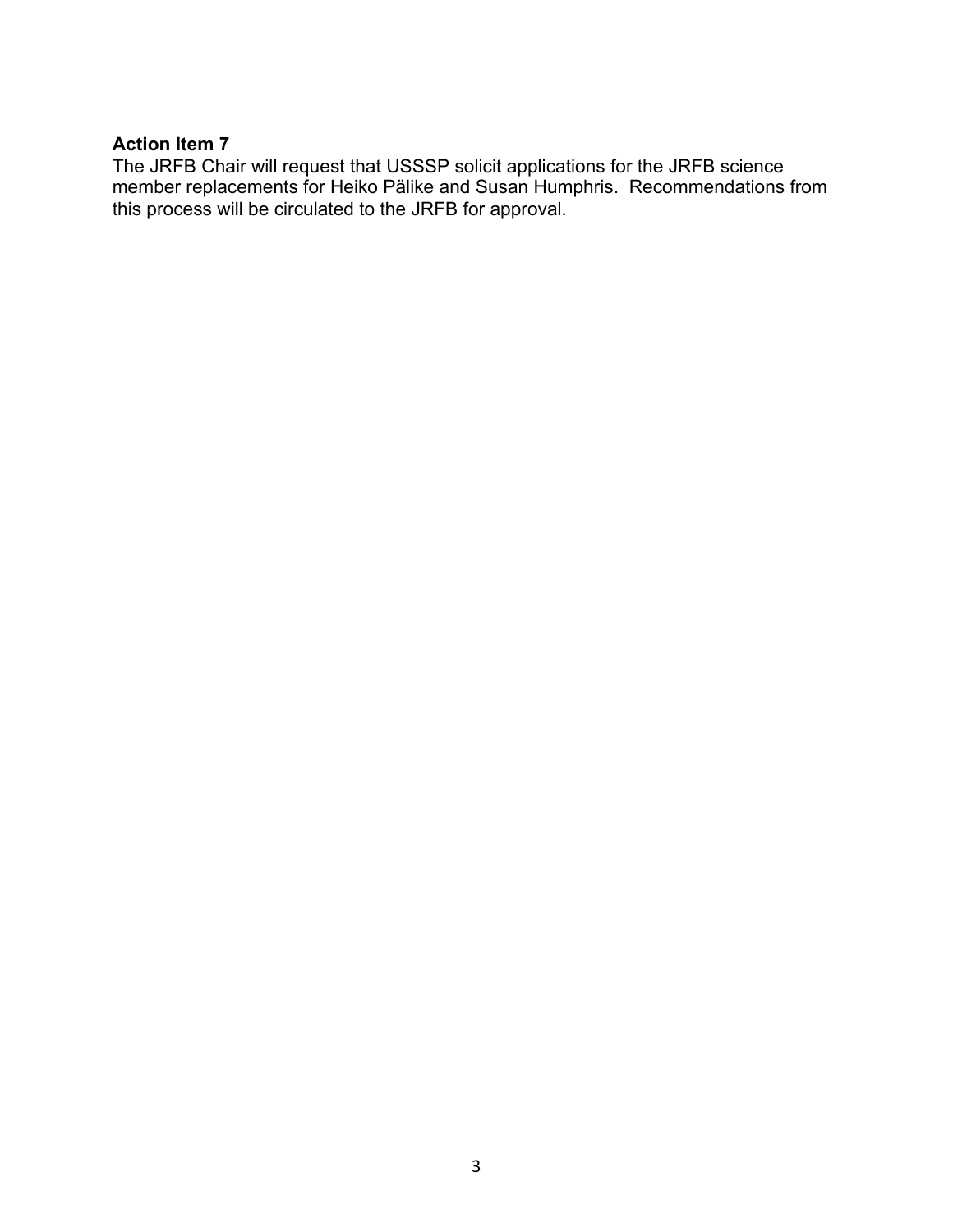#### **Action Item 7**

The JRFB Chair will request that USSSP solicit applications for the JRFB science member replacements for Heiko Pälike and Susan Humphris. Recommendations from this process will be circulated to the JRFB for approval.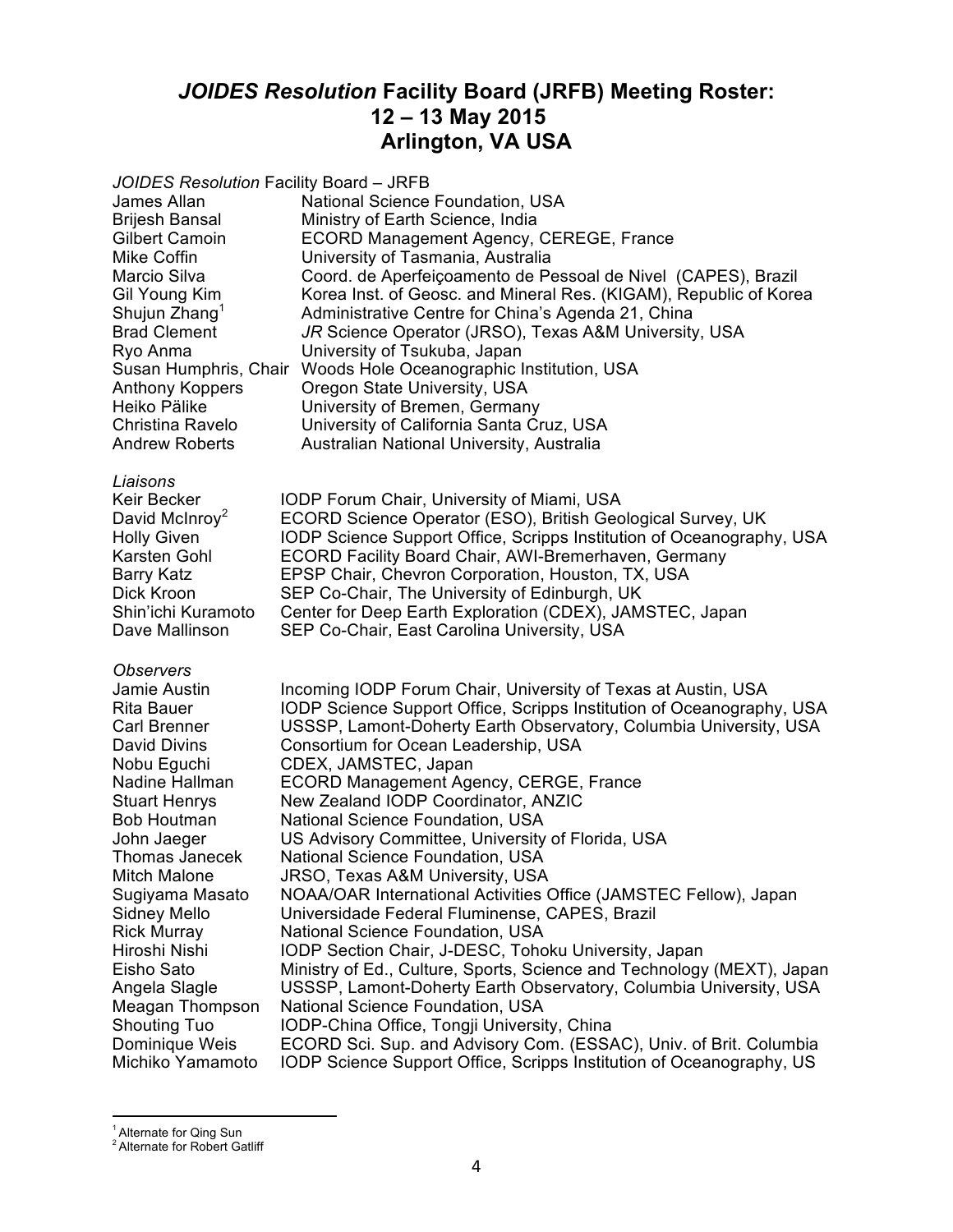# *JOIDES Resolution* **Facility Board (JRFB) Meeting Roster: 12 – 13 May 2015 Arlington, VA USA**

*JOIDES Resolution* Facility Board – JRFB James Allan **National Science Foundation, USA**<br>Brijesh Bansal Ministry of Earth Science, India Brijesh Bansal Ministry of Earth Science, India<br>Gilbert Camoin ECORD Management Agency, ECORD Management Agency, CEREGE, France Mike Coffin University of Tasmania, Australia Marcio Silva Coord. de Aperfeiçoamento de Pessoal de Nivel (CAPES), Brazil Gil Young Kim Korea Inst. of Geosc. and Mineral Res. (KIGAM), Republic of Korea Shujun Zhang<sup>1</sup> Administrative Centre for China's Agenda 21, China Brad Clement *JR* Science Operator (JRSO), Texas A&M University, USA<br>Ryo Anma **University of Tsukuba, Japan** University of Tsukuba, Japan Susan Humphris, Chair Woods Hole Oceanographic Institution, USA Anthony Koppers Oregon State University, USA Heiko Pälike University of Bremen, Germany Christina Ravelo University of California Santa Cruz, USA Australian National University, Australia *Liaisons* Keir Becker **IODP Forum Chair, University of Miami, USA**<br>David McInroy<sup>2</sup> ECORD Science Operator (ESO), British Geo ECORD Science Operator (ESO), British Geological Survey, UK Holly Given IODP Science Support Office, Scripps Institution of Oceanography, USA<br>Karsten Gohl ECORD Facility Board Chair, AWI-Bremerhaven, Germany ECORD Facility Board Chair, AWI-Bremerhaven, Germany Barry Katz **EPSP Chair, Chevron Corporation, Houston, TX, USA**<br>Dick Kroon SEP Co-Chair, The University of Edinburgh, UK SEP Co-Chair, The University of Edinburgh, UK Shin'ichi Kuramoto Center for Deep Earth Exploration (CDEX), JAMSTEC, Japan Dave Mallinson SEP Co-Chair, East Carolina University, USA *Observers* Jamie Austin Incoming IODP Forum Chair, University of Texas at Austin, USA Rita Bauer IODP Science Support Office, Scripps Institution of Oceanography, USA Carl Brenner USSSP, Lamont-Doherty Earth Observatory, Columbia University, USA<br>David Divins Consortium for Ocean Leadership, USA Consortium for Ocean Leadership, USA Nobu Eguchi CDEX, JAMSTEC, Japan Nadine Hallman ECORD Management Agency, CERGE, France Stuart Henrys New Zealand IODP Coordinator, ANZIC<br>Bob Houtman National Science Foundation, USA National Science Foundation, USA John Jaeger **US Advisory Committee, University of Florida, USA** Thomas Janecek National Science Foundation, USA Mitch Malone JRSO, Texas A&M University, USA Sugiyama Masato NOAA/OAR International Activities Office (JAMSTEC Fellow), Japan Sidney Mello Universidade Federal Fluminense, CAPES, Brazil Rick Murray National Science Foundation, USA IODP Section Chair, J-DESC, Tohoku University, Japan Eisho Sato Ministry of Ed., Culture, Sports, Science and Technology (MEXT), Japan Angela Slagle USSSP, Lamont-Doherty Earth Observatory, Columbia University, USA Meagan Thompson National Science Foundation, USA<br>Shouting Tuo 10DP-China Office, Tongji Universit Shouting Tuo **IODP-China Office, Tongji University, China**<br>Dominique Weis ECORD Sci. Sup. and Advisory Com. (ESSA Dominique Weis ECORD Sci. Sup. and Advisory Com. (ESSAC), Univ. of Brit. Columbia<br>Michiko Yamamoto IODP Science Support Office. Scripps Institution of Oceanography. US IODP Science Support Office, Scripps Institution of Oceanography, US

<sup>&</sup>lt;sup>1</sup> Alternate for Qing Sun

<sup>&</sup>lt;sup>2</sup> Alternate for Robert Gatliff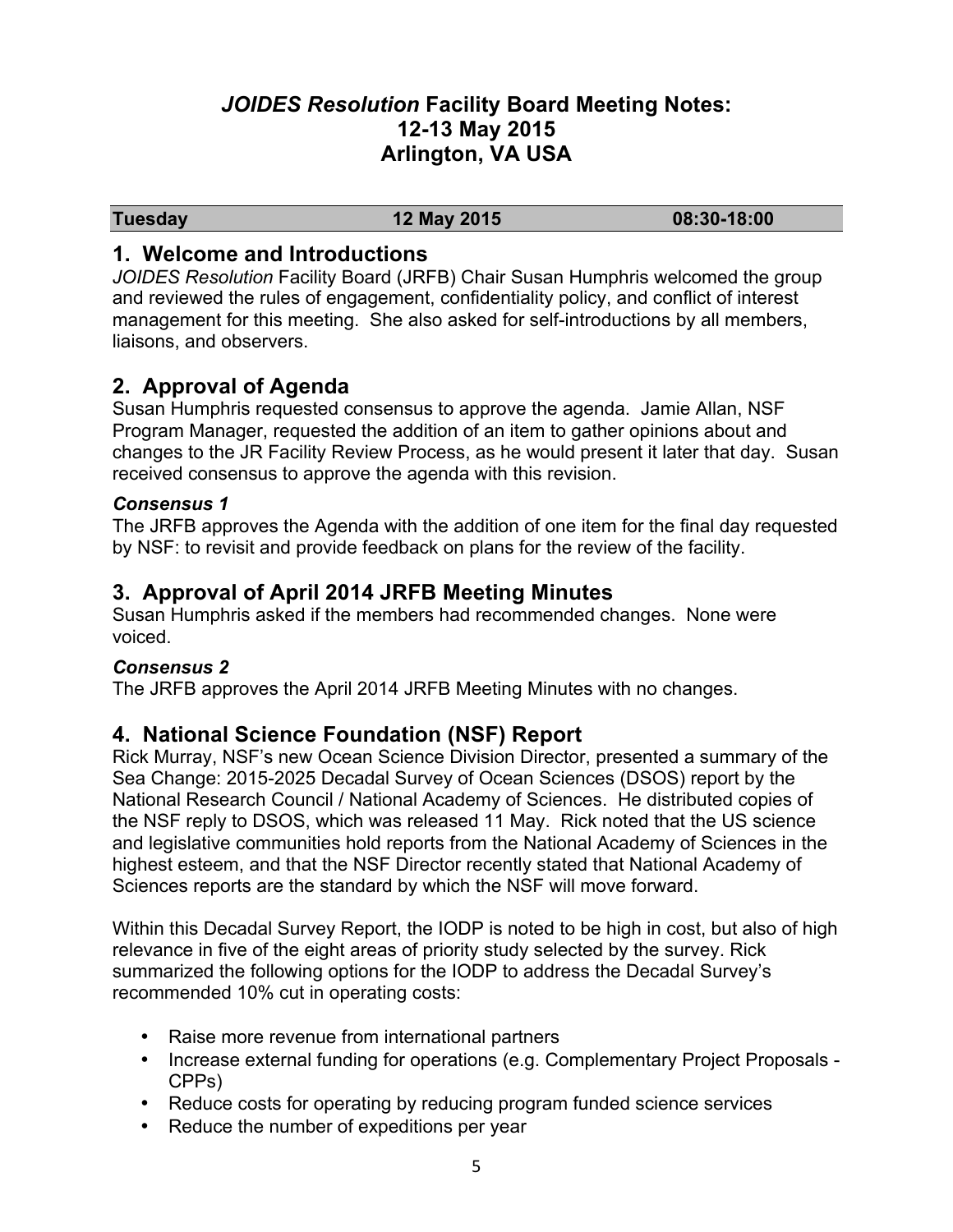# *JOIDES Resolution* **Facility Board Meeting Notes: 12-13 May 2015 Arlington, VA USA**

**Tuesday 12 May 2015 08:30-18:00**

## **1. Welcome and Introductions**

*JOIDES Resolution* Facility Board (JRFB) Chair Susan Humphris welcomed the group and reviewed the rules of engagement, confidentiality policy, and conflict of interest management for this meeting. She also asked for self-introductions by all members, liaisons, and observers.

## **2. Approval of Agenda**

Susan Humphris requested consensus to approve the agenda. Jamie Allan, NSF Program Manager, requested the addition of an item to gather opinions about and changes to the JR Facility Review Process, as he would present it later that day. Susan received consensus to approve the agenda with this revision.

### *Consensus 1*

The JRFB approves the Agenda with the addition of one item for the final day requested by NSF: to revisit and provide feedback on plans for the review of the facility.

# **3. Approval of April 2014 JRFB Meeting Minutes**

Susan Humphris asked if the members had recommended changes. None were voiced.

#### *Consensus 2*

The JRFB approves the April 2014 JRFB Meeting Minutes with no changes.

## **4. National Science Foundation (NSF) Report**

Rick Murray, NSF's new Ocean Science Division Director, presented a summary of the Sea Change: 2015-2025 Decadal Survey of Ocean Sciences (DSOS) report by the National Research Council / National Academy of Sciences. He distributed copies of the NSF reply to DSOS, which was released 11 May. Rick noted that the US science and legislative communities hold reports from the National Academy of Sciences in the highest esteem, and that the NSF Director recently stated that National Academy of Sciences reports are the standard by which the NSF will move forward.

Within this Decadal Survey Report, the IODP is noted to be high in cost, but also of high relevance in five of the eight areas of priority study selected by the survey. Rick summarized the following options for the IODP to address the Decadal Survey's recommended 10% cut in operating costs:

- Raise more revenue from international partners
- Increase external funding for operations (e.g. Complementary Project Proposals -CPPs)
- Reduce costs for operating by reducing program funded science services
- Reduce the number of expeditions per year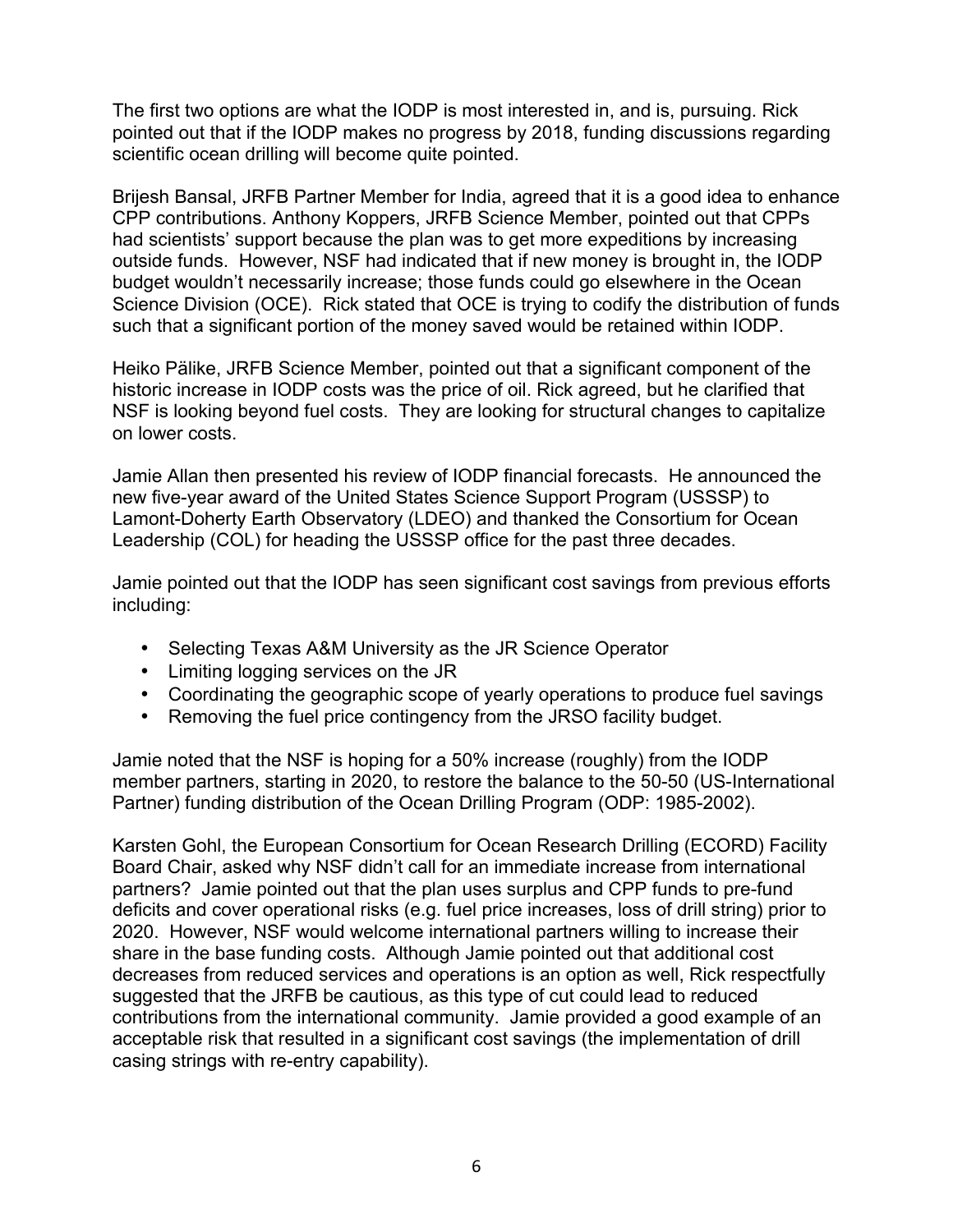The first two options are what the IODP is most interested in, and is, pursuing. Rick pointed out that if the IODP makes no progress by 2018, funding discussions regarding scientific ocean drilling will become quite pointed.

Brijesh Bansal, JRFB Partner Member for India, agreed that it is a good idea to enhance CPP contributions. Anthony Koppers, JRFB Science Member, pointed out that CPPs had scientists' support because the plan was to get more expeditions by increasing outside funds. However, NSF had indicated that if new money is brought in, the IODP budget wouldn't necessarily increase; those funds could go elsewhere in the Ocean Science Division (OCE). Rick stated that OCE is trying to codify the distribution of funds such that a significant portion of the money saved would be retained within IODP.

Heiko Pälike, JRFB Science Member, pointed out that a significant component of the historic increase in IODP costs was the price of oil. Rick agreed, but he clarified that NSF is looking beyond fuel costs. They are looking for structural changes to capitalize on lower costs.

Jamie Allan then presented his review of IODP financial forecasts. He announced the new five-year award of the United States Science Support Program (USSSP) to Lamont-Doherty Earth Observatory (LDEO) and thanked the Consortium for Ocean Leadership (COL) for heading the USSSP office for the past three decades.

Jamie pointed out that the IODP has seen significant cost savings from previous efforts including:

- Selecting Texas A&M University as the JR Science Operator
- Limiting logging services on the JR
- Coordinating the geographic scope of yearly operations to produce fuel savings
- Removing the fuel price contingency from the JRSO facility budget.

Jamie noted that the NSF is hoping for a 50% increase (roughly) from the IODP member partners, starting in 2020, to restore the balance to the 50-50 (US-International Partner) funding distribution of the Ocean Drilling Program (ODP: 1985-2002).

Karsten Gohl, the European Consortium for Ocean Research Drilling (ECORD) Facility Board Chair, asked why NSF didn't call for an immediate increase from international partners? Jamie pointed out that the plan uses surplus and CPP funds to pre-fund deficits and cover operational risks (e.g. fuel price increases, loss of drill string) prior to 2020. However, NSF would welcome international partners willing to increase their share in the base funding costs. Although Jamie pointed out that additional cost decreases from reduced services and operations is an option as well, Rick respectfully suggested that the JRFB be cautious, as this type of cut could lead to reduced contributions from the international community. Jamie provided a good example of an acceptable risk that resulted in a significant cost savings (the implementation of drill casing strings with re-entry capability).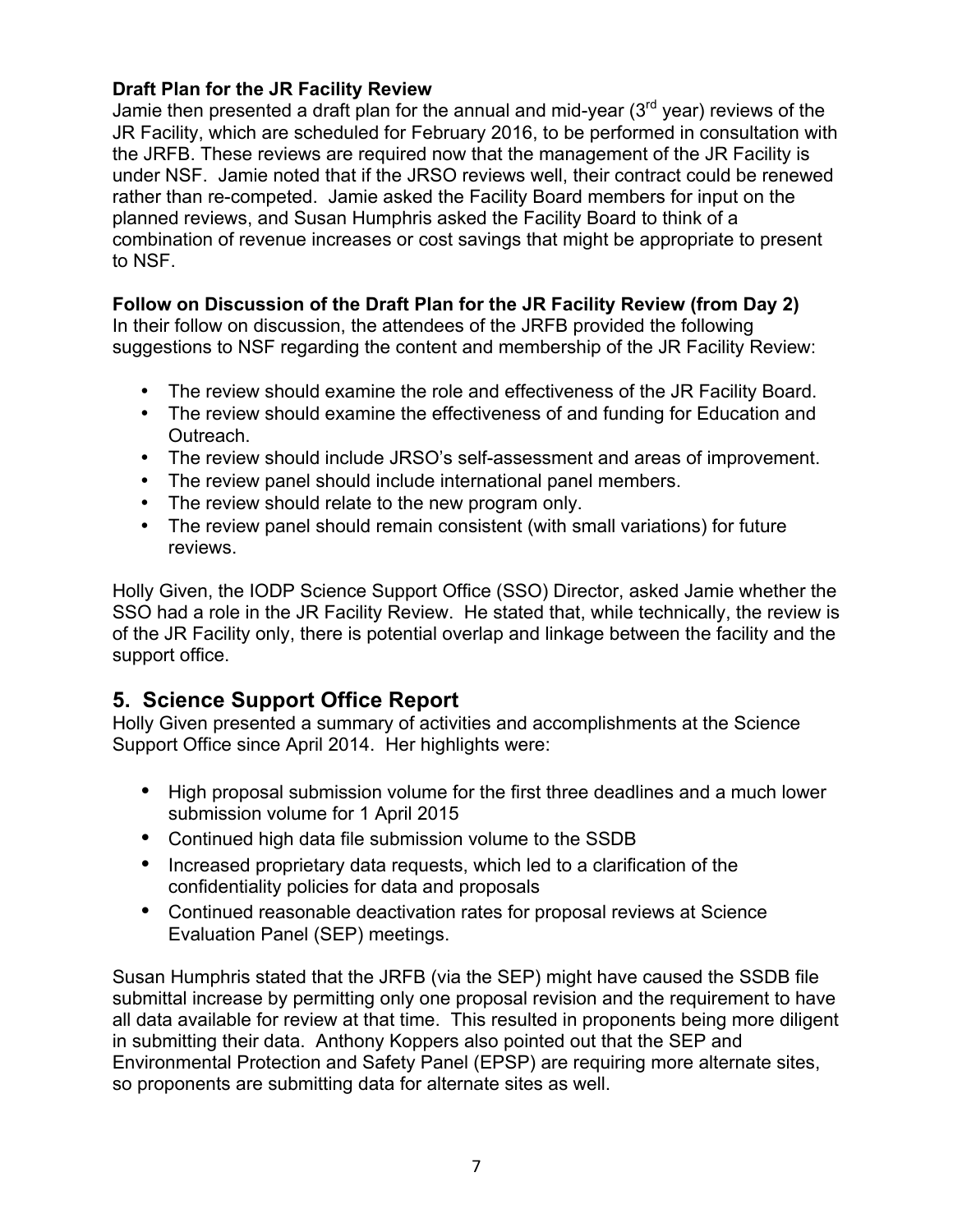## **Draft Plan for the JR Facility Review**

Jamie then presented a draft plan for the annual and mid-year  $3<sup>rd</sup>$  year) reviews of the JR Facility, which are scheduled for February 2016, to be performed in consultation with the JRFB. These reviews are required now that the management of the JR Facility is under NSF. Jamie noted that if the JRSO reviews well, their contract could be renewed rather than re-competed. Jamie asked the Facility Board members for input on the planned reviews, and Susan Humphris asked the Facility Board to think of a combination of revenue increases or cost savings that might be appropriate to present to NSF.

## **Follow on Discussion of the Draft Plan for the JR Facility Review (from Day 2)**

In their follow on discussion, the attendees of the JRFB provided the following suggestions to NSF regarding the content and membership of the JR Facility Review:

- The review should examine the role and effectiveness of the JR Facility Board.
- The review should examine the effectiveness of and funding for Education and Outreach.
- The review should include JRSO's self-assessment and areas of improvement.
- The review panel should include international panel members.
- The review should relate to the new program only.
- The review panel should remain consistent (with small variations) for future reviews.

Holly Given, the IODP Science Support Office (SSO) Director, asked Jamie whether the SSO had a role in the JR Facility Review. He stated that, while technically, the review is of the JR Facility only, there is potential overlap and linkage between the facility and the support office.

# **5. Science Support Office Report**

Holly Given presented a summary of activities and accomplishments at the Science Support Office since April 2014. Her highlights were:

- High proposal submission volume for the first three deadlines and a much lower submission volume for 1 April 2015
- Continued high data file submission volume to the SSDB
- Increased proprietary data requests, which led to a clarification of the confidentiality policies for data and proposals
- Continued reasonable deactivation rates for proposal reviews at Science Evaluation Panel (SEP) meetings.

Susan Humphris stated that the JRFB (via the SEP) might have caused the SSDB file submittal increase by permitting only one proposal revision and the requirement to have all data available for review at that time. This resulted in proponents being more diligent in submitting their data. Anthony Koppers also pointed out that the SEP and Environmental Protection and Safety Panel (EPSP) are requiring more alternate sites, so proponents are submitting data for alternate sites as well.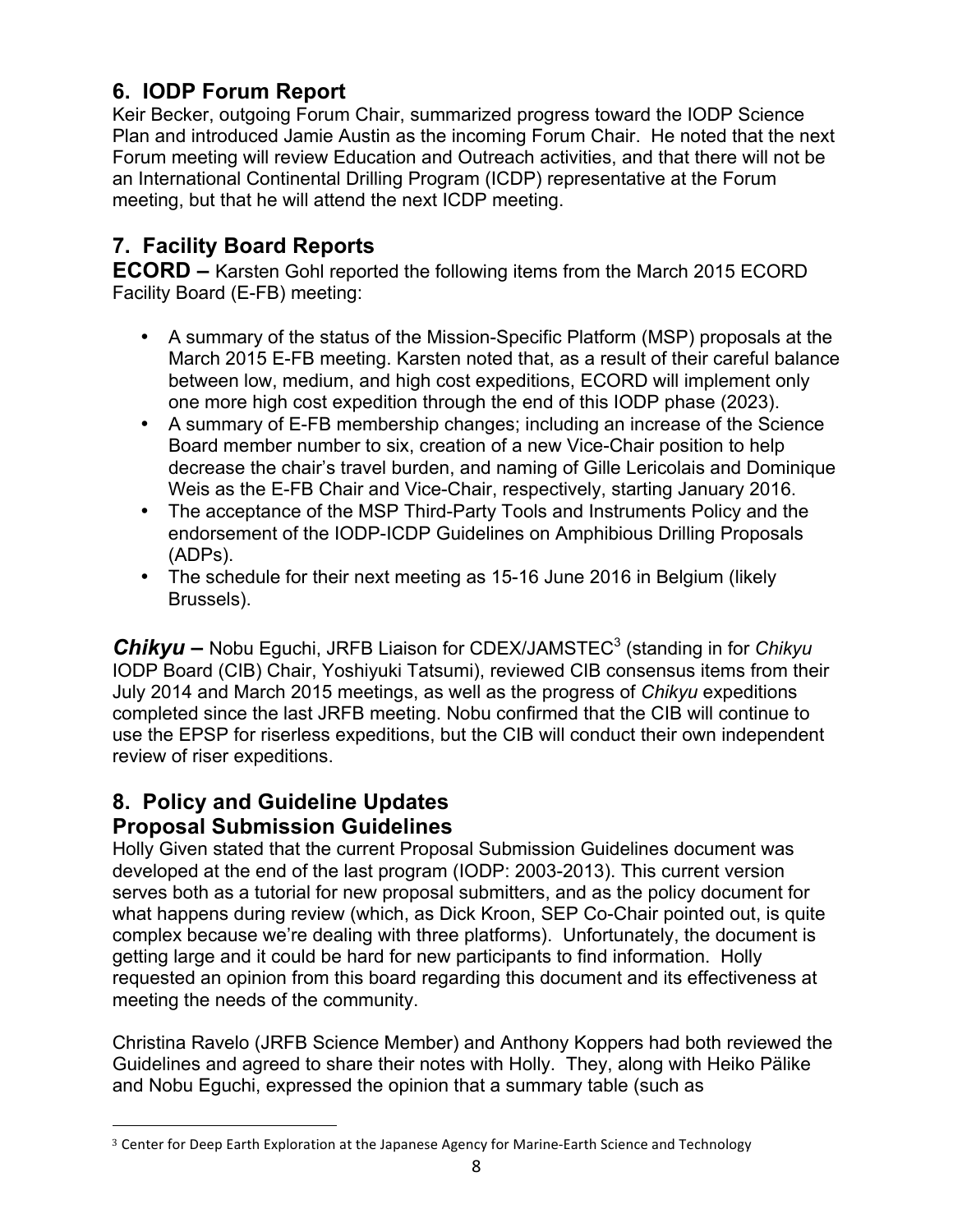# **6. IODP Forum Report**

Keir Becker, outgoing Forum Chair, summarized progress toward the IODP Science Plan and introduced Jamie Austin as the incoming Forum Chair. He noted that the next Forum meeting will review Education and Outreach activities, and that there will not be an International Continental Drilling Program (ICDP) representative at the Forum meeting, but that he will attend the next ICDP meeting.

# **7. Facility Board Reports**

**ECORD –** Karsten Gohl reported the following items from the March 2015 ECORD Facility Board (E-FB) meeting:

- A summary of the status of the Mission-Specific Platform (MSP) proposals at the March 2015 E-FB meeting. Karsten noted that, as a result of their careful balance between low, medium, and high cost expeditions, ECORD will implement only one more high cost expedition through the end of this IODP phase (2023).
- A summary of E-FB membership changes; including an increase of the Science Board member number to six, creation of a new Vice-Chair position to help decrease the chair's travel burden, and naming of Gille Lericolais and Dominique Weis as the E-FB Chair and Vice-Chair, respectively, starting January 2016.
- The acceptance of the MSP Third-Party Tools and Instruments Policy and the endorsement of the IODP-ICDP Guidelines on Amphibious Drilling Proposals (ADPs).
- The schedule for their next meeting as 15-16 June 2016 in Belgium (likely Brussels).

*Chikyu* **–** Nobu Eguchi, JRFB Liaison for CDEX/JAMSTEC<sup>3</sup> (standing in for *Chikyu* IODP Board (CIB) Chair, Yoshiyuki Tatsumi), reviewed CIB consensus items from their July 2014 and March 2015 meetings, as well as the progress of *Chikyu* expeditions completed since the last JRFB meeting. Nobu confirmed that the CIB will continue to use the EPSP for riserless expeditions, but the CIB will conduct their own independent review of riser expeditions.

# **8. Policy and Guideline Updates**

# **Proposal Submission Guidelines**

Holly Given stated that the current Proposal Submission Guidelines document was developed at the end of the last program (IODP: 2003-2013). This current version serves both as a tutorial for new proposal submitters, and as the policy document for what happens during review (which, as Dick Kroon, SEP Co-Chair pointed out, is quite complex because we're dealing with three platforms). Unfortunately, the document is getting large and it could be hard for new participants to find information. Holly requested an opinion from this board regarding this document and its effectiveness at meeting the needs of the community.

Christina Ravelo (JRFB Science Member) and Anthony Koppers had both reviewed the Guidelines and agreed to share their notes with Holly. They, along with Heiko Pälike and Nobu Eguchi, expressed the opinion that a summary table (such as

 <sup>3</sup> Center for Deep Earth Exploration at the Japanese Agency for Marine-Earth Science and Technology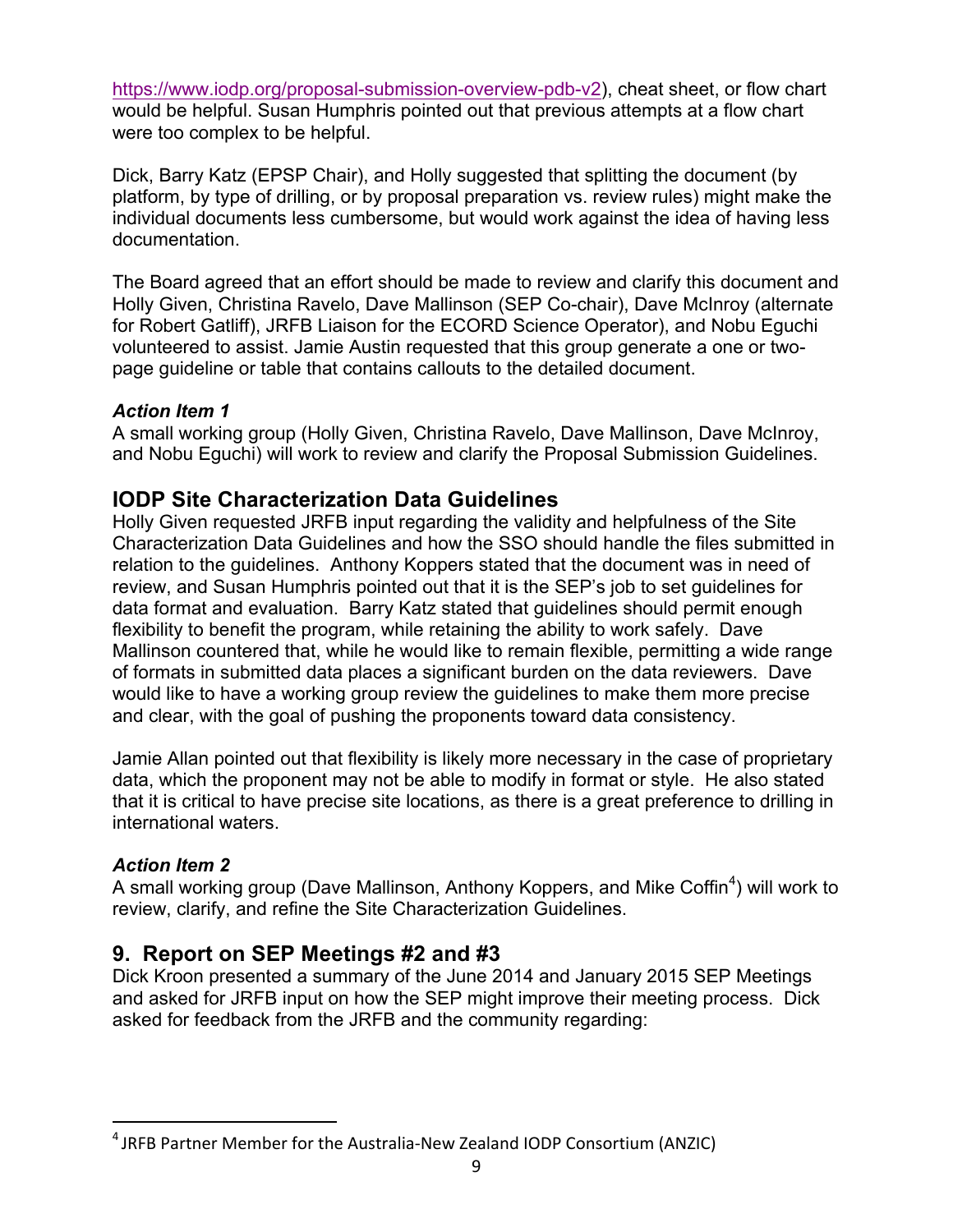https://www.iodp.org/proposal-submission-overview-pdb-v2), cheat sheet, or flow chart would be helpful. Susan Humphris pointed out that previous attempts at a flow chart were too complex to be helpful.

Dick, Barry Katz (EPSP Chair), and Holly suggested that splitting the document (by platform, by type of drilling, or by proposal preparation vs. review rules) might make the individual documents less cumbersome, but would work against the idea of having less documentation.

The Board agreed that an effort should be made to review and clarify this document and Holly Given, Christina Ravelo, Dave Mallinson (SEP Co-chair), Dave McInroy (alternate for Robert Gatliff), JRFB Liaison for the ECORD Science Operator), and Nobu Eguchi volunteered to assist. Jamie Austin requested that this group generate a one or twopage guideline or table that contains callouts to the detailed document.

### *Action Item 1*

A small working group (Holly Given, Christina Ravelo, Dave Mallinson, Dave McInroy, and Nobu Eguchi) will work to review and clarify the Proposal Submission Guidelines.

## **IODP Site Characterization Data Guidelines**

Holly Given requested JRFB input regarding the validity and helpfulness of the Site Characterization Data Guidelines and how the SSO should handle the files submitted in relation to the guidelines. Anthony Koppers stated that the document was in need of review, and Susan Humphris pointed out that it is the SEP's job to set guidelines for data format and evaluation. Barry Katz stated that guidelines should permit enough flexibility to benefit the program, while retaining the ability to work safely. Dave Mallinson countered that, while he would like to remain flexible, permitting a wide range of formats in submitted data places a significant burden on the data reviewers. Dave would like to have a working group review the guidelines to make them more precise and clear, with the goal of pushing the proponents toward data consistency.

Jamie Allan pointed out that flexibility is likely more necessary in the case of proprietary data, which the proponent may not be able to modify in format or style. He also stated that it is critical to have precise site locations, as there is a great preference to drilling in international waters.

### *Action Item 2*

A small working group (Dave Mallinson, Anthony Koppers, and Mike Coffin<sup>4</sup>) will work to review, clarify, and refine the Site Characterization Guidelines.

## **9. Report on SEP Meetings #2 and #3**

Dick Kroon presented a summary of the June 2014 and January 2015 SEP Meetings and asked for JRFB input on how the SEP might improve their meeting process. Dick asked for feedback from the JRFB and the community regarding:

<sup>&</sup>lt;sup>4</sup> JRFB Partner Member for the Australia-New Zealand IODP Consortium (ANZIC)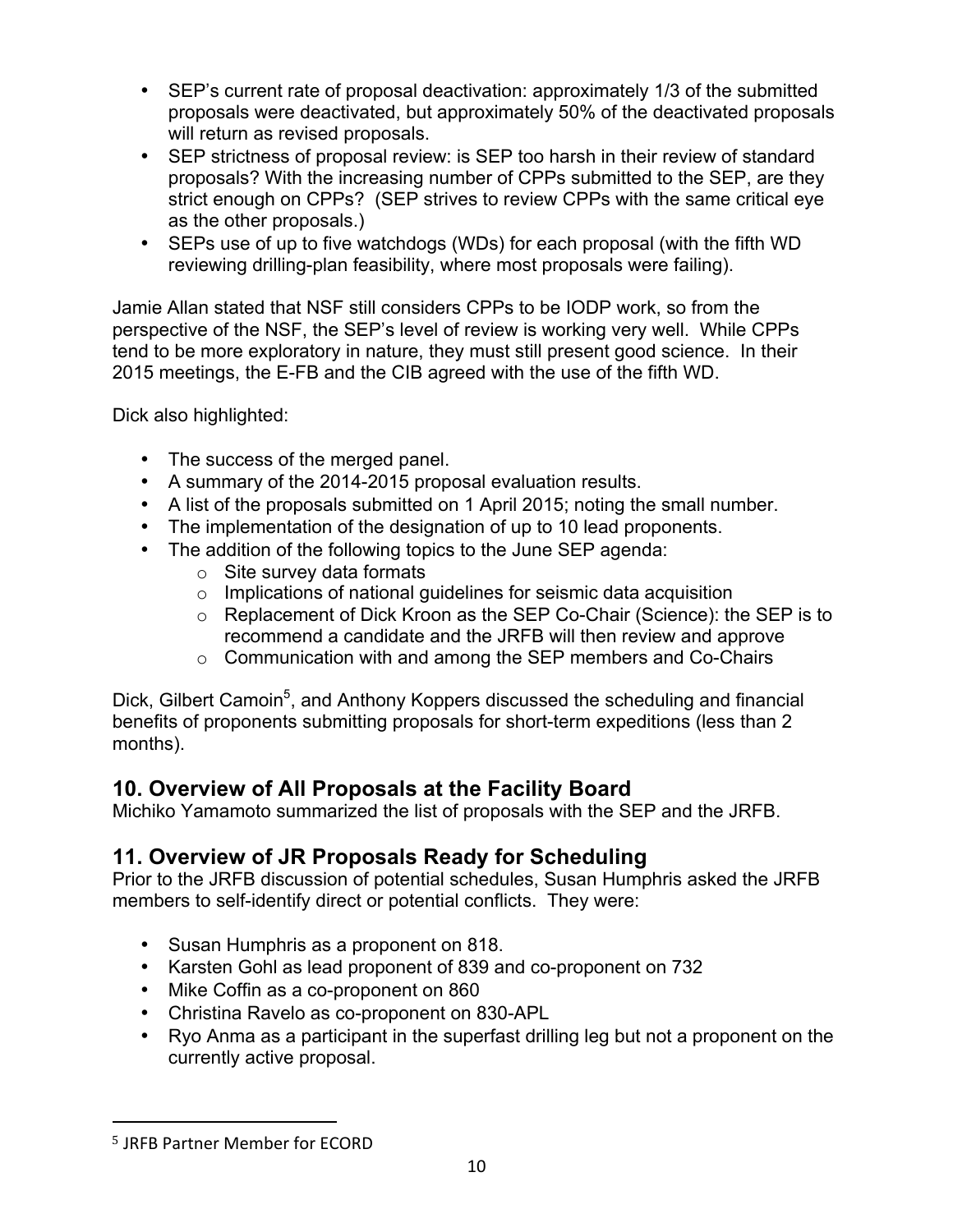- SEP's current rate of proposal deactivation: approximately 1/3 of the submitted proposals were deactivated, but approximately 50% of the deactivated proposals will return as revised proposals.
- SEP strictness of proposal review: is SEP too harsh in their review of standard proposals? With the increasing number of CPPs submitted to the SEP, are they strict enough on CPPs? (SEP strives to review CPPs with the same critical eye as the other proposals.)
- SEPs use of up to five watchdogs (WDs) for each proposal (with the fifth WD reviewing drilling-plan feasibility, where most proposals were failing).

Jamie Allan stated that NSF still considers CPPs to be IODP work, so from the perspective of the NSF, the SEP's level of review is working very well. While CPPs tend to be more exploratory in nature, they must still present good science. In their 2015 meetings, the E-FB and the CIB agreed with the use of the fifth WD.

Dick also highlighted:

- The success of the merged panel.
- A summary of the 2014-2015 proposal evaluation results.
- A list of the proposals submitted on 1 April 2015; noting the small number.
- The implementation of the designation of up to 10 lead proponents.
- The addition of the following topics to the June SEP agenda:
	- $\circ$  Site survey data formats
	- o Implications of national guidelines for seismic data acquisition
	- o Replacement of Dick Kroon as the SEP Co-Chair (Science): the SEP is to recommend a candidate and the JRFB will then review and approve
	- o Communication with and among the SEP members and Co-Chairs

Dick, Gilbert Camoin<sup>5</sup>, and Anthony Koppers discussed the scheduling and financial benefits of proponents submitting proposals for short-term expeditions (less than 2 months).

# **10. Overview of All Proposals at the Facility Board**

Michiko Yamamoto summarized the list of proposals with the SEP and the JRFB.

# **11. Overview of JR Proposals Ready for Scheduling**

Prior to the JRFB discussion of potential schedules, Susan Humphris asked the JRFB members to self-identify direct or potential conflicts. They were:

- Susan Humphris as a proponent on 818.
- Karsten Gohl as lead proponent of 839 and co-proponent on 732
- Mike Coffin as a co-proponent on 860
- Christina Ravelo as co-proponent on 830-APL
- Ryo Anma as a participant in the superfast drilling leg but not a proponent on the currently active proposal.

<sup>&</sup>lt;sup>5</sup> JRFB Partner Member for ECORD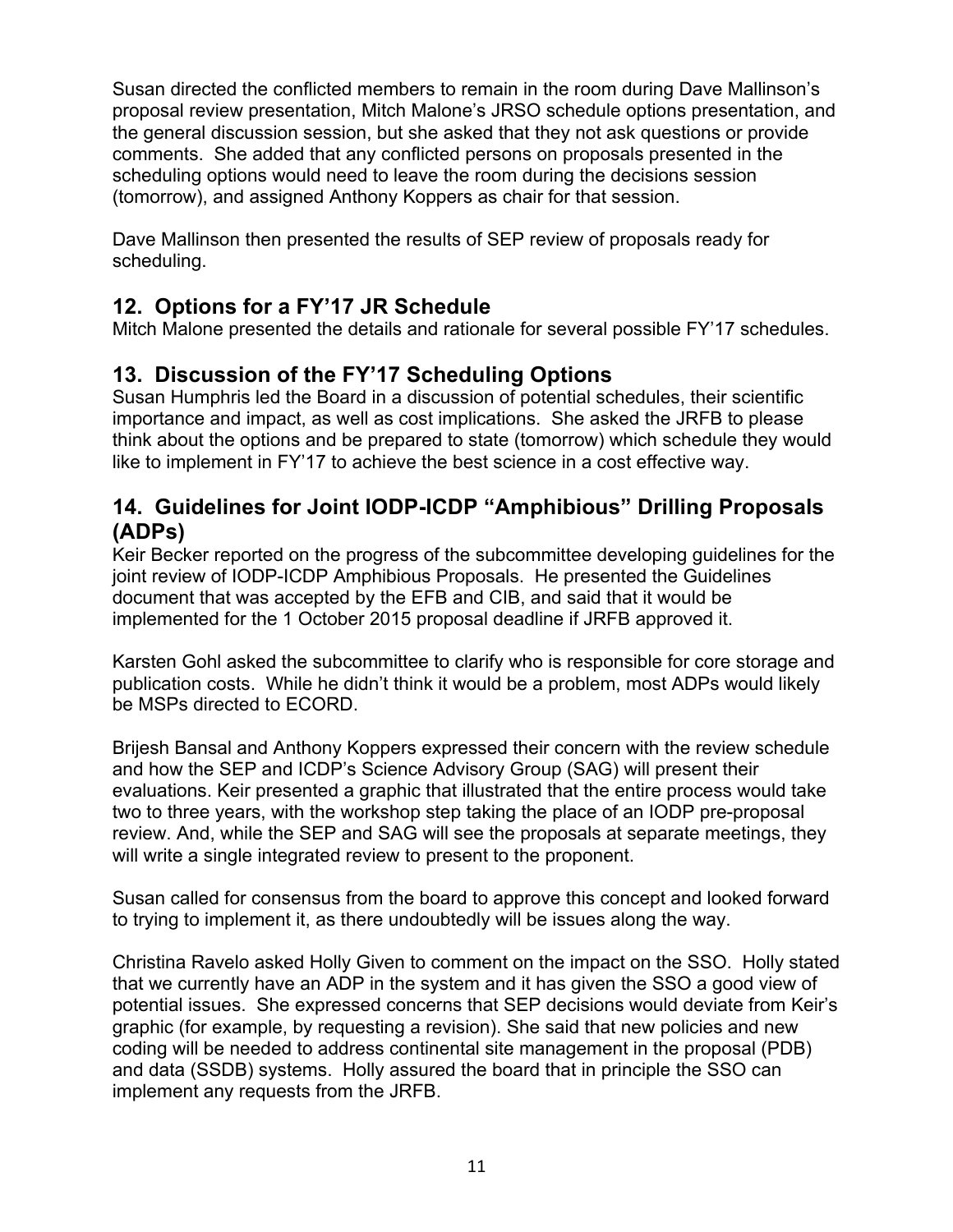Susan directed the conflicted members to remain in the room during Dave Mallinson's proposal review presentation, Mitch Malone's JRSO schedule options presentation, and the general discussion session, but she asked that they not ask questions or provide comments. She added that any conflicted persons on proposals presented in the scheduling options would need to leave the room during the decisions session (tomorrow), and assigned Anthony Koppers as chair for that session.

Dave Mallinson then presented the results of SEP review of proposals ready for scheduling.

# **12. Options for a FY'17 JR Schedule**

Mitch Malone presented the details and rationale for several possible FY'17 schedules.

# **13. Discussion of the FY'17 Scheduling Options**

Susan Humphris led the Board in a discussion of potential schedules, their scientific importance and impact, as well as cost implications. She asked the JRFB to please think about the options and be prepared to state (tomorrow) which schedule they would like to implement in FY'17 to achieve the best science in a cost effective way.

# **14. Guidelines for Joint IODP-ICDP "Amphibious" Drilling Proposals (ADPs)**

Keir Becker reported on the progress of the subcommittee developing guidelines for the joint review of IODP-ICDP Amphibious Proposals. He presented the Guidelines document that was accepted by the EFB and CIB, and said that it would be implemented for the 1 October 2015 proposal deadline if JRFB approved it.

Karsten Gohl asked the subcommittee to clarify who is responsible for core storage and publication costs. While he didn't think it would be a problem, most ADPs would likely be MSPs directed to ECORD.

Brijesh Bansal and Anthony Koppers expressed their concern with the review schedule and how the SEP and ICDP's Science Advisory Group (SAG) will present their evaluations. Keir presented a graphic that illustrated that the entire process would take two to three years, with the workshop step taking the place of an IODP pre-proposal review. And, while the SEP and SAG will see the proposals at separate meetings, they will write a single integrated review to present to the proponent.

Susan called for consensus from the board to approve this concept and looked forward to trying to implement it, as there undoubtedly will be issues along the way.

Christina Ravelo asked Holly Given to comment on the impact on the SSO. Holly stated that we currently have an ADP in the system and it has given the SSO a good view of potential issues. She expressed concerns that SEP decisions would deviate from Keir's graphic (for example, by requesting a revision). She said that new policies and new coding will be needed to address continental site management in the proposal (PDB) and data (SSDB) systems. Holly assured the board that in principle the SSO can implement any requests from the JRFB.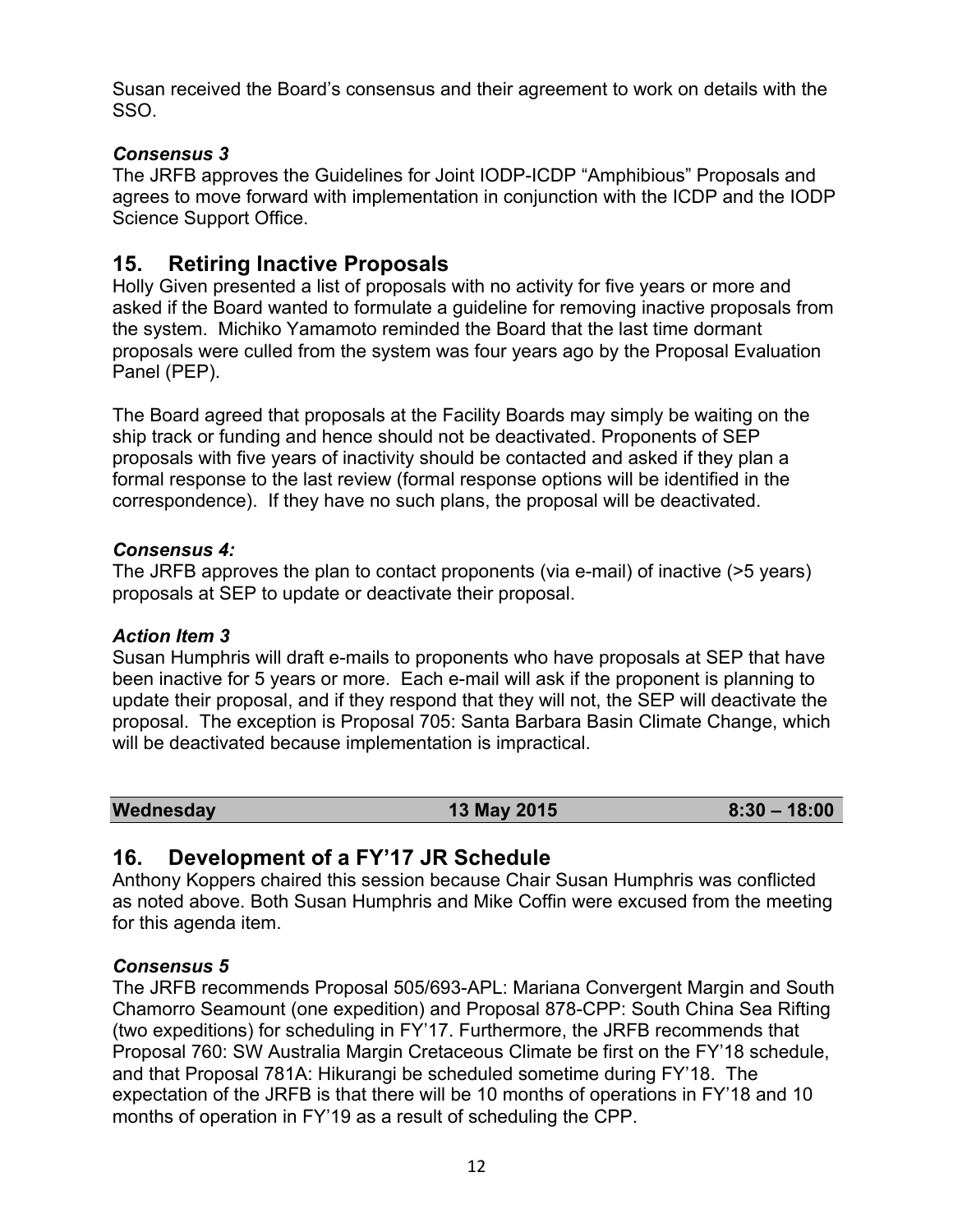Susan received the Board's consensus and their agreement to work on details with the SSO.

## *Consensus 3*

The JRFB approves the Guidelines for Joint IODP-ICDP "Amphibious" Proposals and agrees to move forward with implementation in conjunction with the ICDP and the IODP Science Support Office.

# **15. Retiring Inactive Proposals**

Holly Given presented a list of proposals with no activity for five years or more and asked if the Board wanted to formulate a guideline for removing inactive proposals from the system. Michiko Yamamoto reminded the Board that the last time dormant proposals were culled from the system was four years ago by the Proposal Evaluation Panel (PEP).

The Board agreed that proposals at the Facility Boards may simply be waiting on the ship track or funding and hence should not be deactivated. Proponents of SEP proposals with five years of inactivity should be contacted and asked if they plan a formal response to the last review (formal response options will be identified in the correspondence). If they have no such plans, the proposal will be deactivated.

## *Consensus 4:*

The JRFB approves the plan to contact proponents (via e-mail) of inactive (>5 years) proposals at SEP to update or deactivate their proposal.

## *Action Item 3*

Susan Humphris will draft e-mails to proponents who have proposals at SEP that have been inactive for 5 years or more. Each e-mail will ask if the proponent is planning to update their proposal, and if they respond that they will not, the SEP will deactivate the proposal. The exception is Proposal 705: Santa Barbara Basin Climate Change, which will be deactivated because implementation is impractical.

| Wednesday | <b>13 May 2015</b> | $8:30 - 18:00$ |
|-----------|--------------------|----------------|
|-----------|--------------------|----------------|

# **16. Development of a FY'17 JR Schedule**

Anthony Koppers chaired this session because Chair Susan Humphris was conflicted as noted above. Both Susan Humphris and Mike Coffin were excused from the meeting for this agenda item.

## *Consensus 5*

The JRFB recommends Proposal 505/693-APL: Mariana Convergent Margin and South Chamorro Seamount (one expedition) and Proposal 878-CPP: South China Sea Rifting (two expeditions) for scheduling in FY'17. Furthermore, the JRFB recommends that Proposal 760: SW Australia Margin Cretaceous Climate be first on the FY'18 schedule, and that Proposal 781A: Hikurangi be scheduled sometime during FY'18. The expectation of the JRFB is that there will be 10 months of operations in FY'18 and 10 months of operation in FY'19 as a result of scheduling the CPP.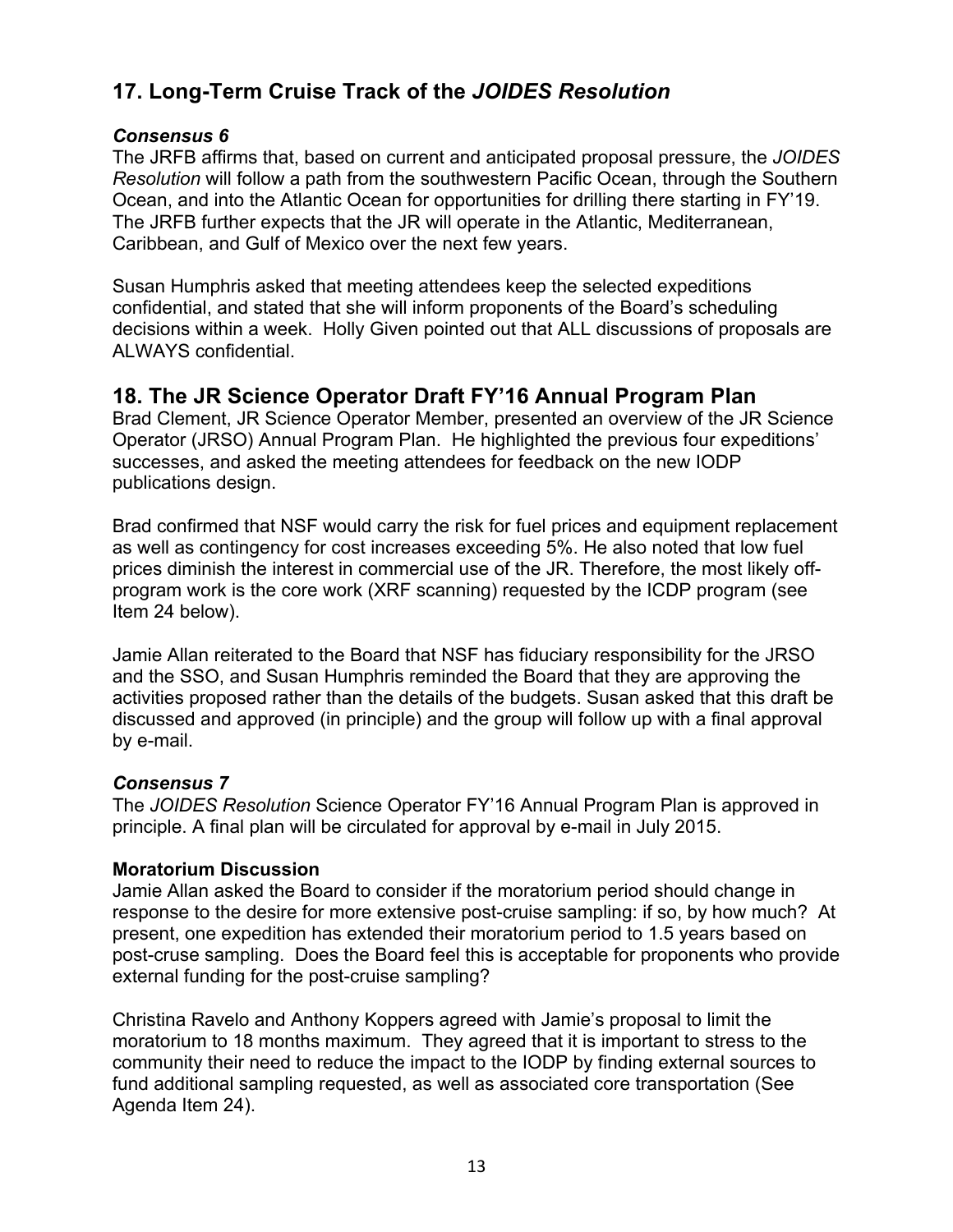# **17. Long-Term Cruise Track of the** *JOIDES Resolution*

#### *Consensus 6*

The JRFB affirms that, based on current and anticipated proposal pressure, the *JOIDES Resolution* will follow a path from the southwestern Pacific Ocean, through the Southern Ocean, and into the Atlantic Ocean for opportunities for drilling there starting in FY'19. The JRFB further expects that the JR will operate in the Atlantic, Mediterranean, Caribbean, and Gulf of Mexico over the next few years.

Susan Humphris asked that meeting attendees keep the selected expeditions confidential, and stated that she will inform proponents of the Board's scheduling decisions within a week. Holly Given pointed out that ALL discussions of proposals are ALWAYS confidential.

## **18. The JR Science Operator Draft FY'16 Annual Program Plan**

Brad Clement, JR Science Operator Member, presented an overview of the JR Science Operator (JRSO) Annual Program Plan. He highlighted the previous four expeditions' successes, and asked the meeting attendees for feedback on the new IODP publications design.

Brad confirmed that NSF would carry the risk for fuel prices and equipment replacement as well as contingency for cost increases exceeding 5%. He also noted that low fuel prices diminish the interest in commercial use of the JR. Therefore, the most likely offprogram work is the core work (XRF scanning) requested by the ICDP program (see Item 24 below).

Jamie Allan reiterated to the Board that NSF has fiduciary responsibility for the JRSO and the SSO, and Susan Humphris reminded the Board that they are approving the activities proposed rather than the details of the budgets. Susan asked that this draft be discussed and approved (in principle) and the group will follow up with a final approval by e-mail.

### *Consensus 7*

The *JOIDES Resolution* Science Operator FY'16 Annual Program Plan is approved in principle. A final plan will be circulated for approval by e-mail in July 2015.

#### **Moratorium Discussion**

Jamie Allan asked the Board to consider if the moratorium period should change in response to the desire for more extensive post-cruise sampling: if so, by how much? At present, one expedition has extended their moratorium period to 1.5 years based on post-cruse sampling. Does the Board feel this is acceptable for proponents who provide external funding for the post-cruise sampling?

Christina Ravelo and Anthony Koppers agreed with Jamie's proposal to limit the moratorium to 18 months maximum. They agreed that it is important to stress to the community their need to reduce the impact to the IODP by finding external sources to fund additional sampling requested, as well as associated core transportation (See Agenda Item 24).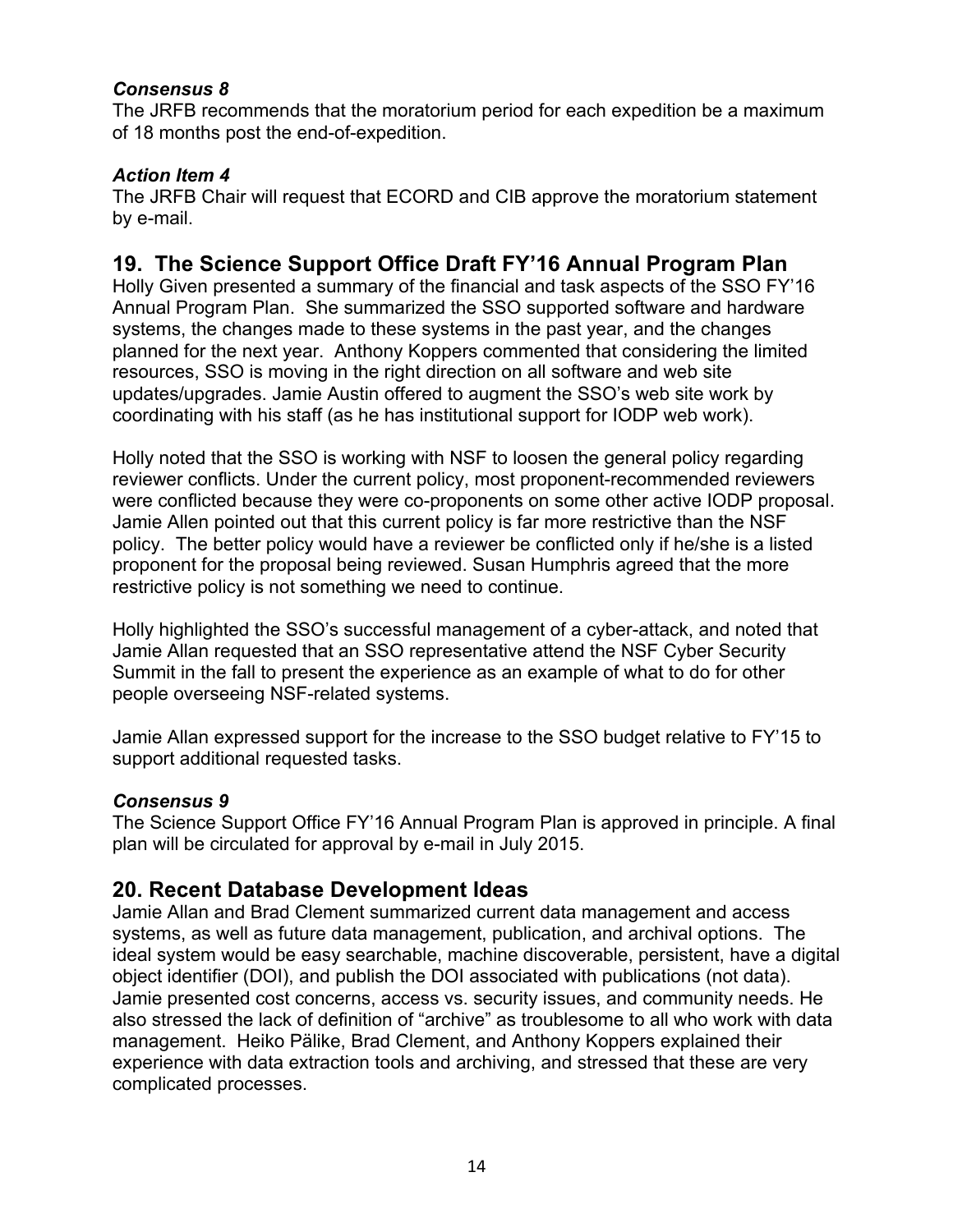### *Consensus 8*

The JRFB recommends that the moratorium period for each expedition be a maximum of 18 months post the end-of-expedition.

### *Action Item 4*

The JRFB Chair will request that ECORD and CIB approve the moratorium statement by e-mail.

# **19. The Science Support Office Draft FY'16 Annual Program Plan**

Holly Given presented a summary of the financial and task aspects of the SSO FY'16 Annual Program Plan. She summarized the SSO supported software and hardware systems, the changes made to these systems in the past year, and the changes planned for the next year. Anthony Koppers commented that considering the limited resources, SSO is moving in the right direction on all software and web site updates/upgrades. Jamie Austin offered to augment the SSO's web site work by coordinating with his staff (as he has institutional support for IODP web work).

Holly noted that the SSO is working with NSF to loosen the general policy regarding reviewer conflicts. Under the current policy, most proponent-recommended reviewers were conflicted because they were co-proponents on some other active IODP proposal. Jamie Allen pointed out that this current policy is far more restrictive than the NSF policy. The better policy would have a reviewer be conflicted only if he/she is a listed proponent for the proposal being reviewed. Susan Humphris agreed that the more restrictive policy is not something we need to continue.

Holly highlighted the SSO's successful management of a cyber-attack, and noted that Jamie Allan requested that an SSO representative attend the NSF Cyber Security Summit in the fall to present the experience as an example of what to do for other people overseeing NSF-related systems.

Jamie Allan expressed support for the increase to the SSO budget relative to FY'15 to support additional requested tasks.

### *Consensus 9*

The Science Support Office FY'16 Annual Program Plan is approved in principle. A final plan will be circulated for approval by e-mail in July 2015.

## **20. Recent Database Development Ideas**

Jamie Allan and Brad Clement summarized current data management and access systems, as well as future data management, publication, and archival options. The ideal system would be easy searchable, machine discoverable, persistent, have a digital object identifier (DOI), and publish the DOI associated with publications (not data). Jamie presented cost concerns, access vs. security issues, and community needs. He also stressed the lack of definition of "archive" as troublesome to all who work with data management. Heiko Pälike, Brad Clement, and Anthony Koppers explained their experience with data extraction tools and archiving, and stressed that these are very complicated processes.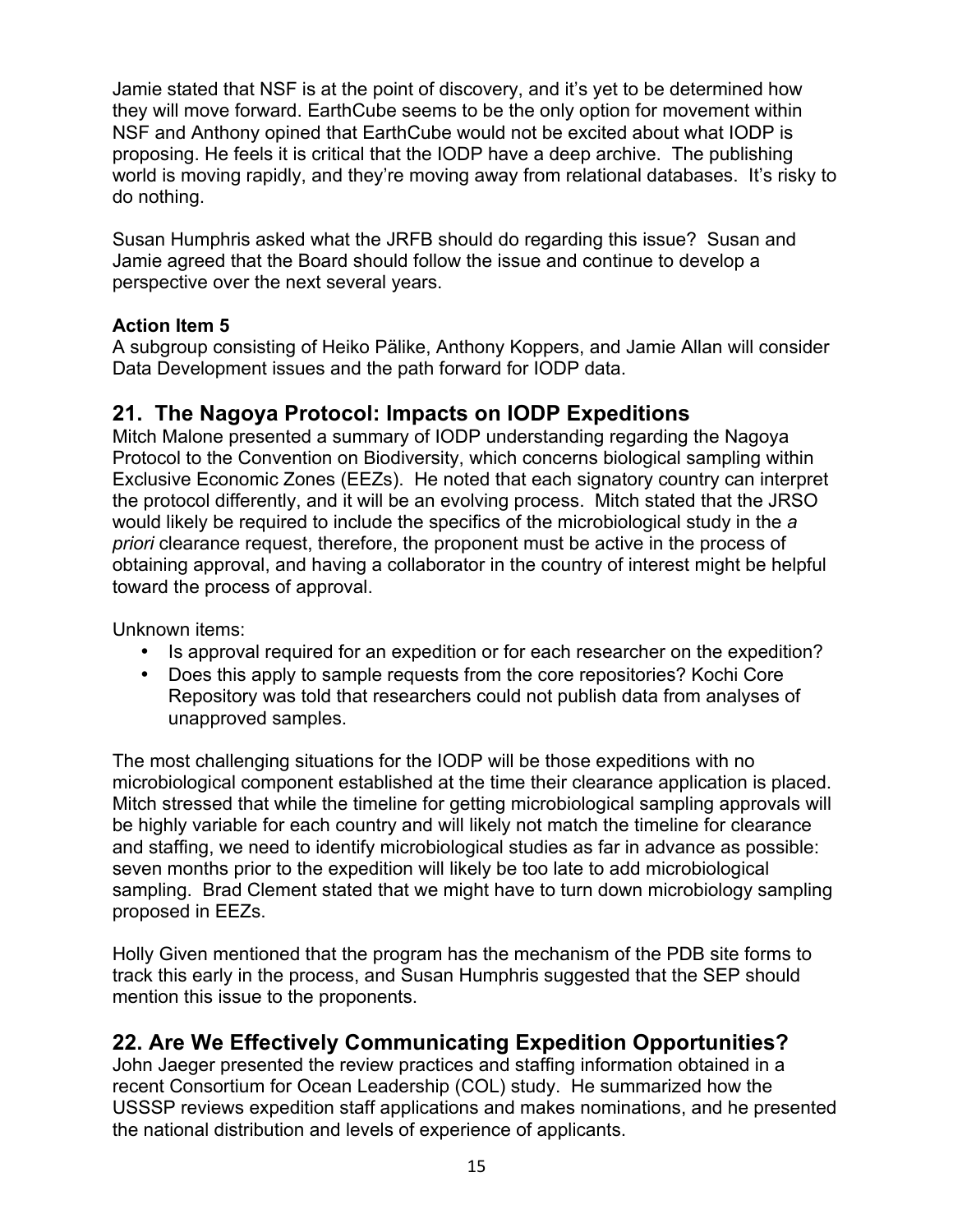Jamie stated that NSF is at the point of discovery, and it's yet to be determined how they will move forward. EarthCube seems to be the only option for movement within NSF and Anthony opined that EarthCube would not be excited about what IODP is proposing. He feels it is critical that the IODP have a deep archive. The publishing world is moving rapidly, and they're moving away from relational databases. It's risky to do nothing.

Susan Humphris asked what the JRFB should do regarding this issue? Susan and Jamie agreed that the Board should follow the issue and continue to develop a perspective over the next several years.

## **Action Item 5**

A subgroup consisting of Heiko Pälike, Anthony Koppers, and Jamie Allan will consider Data Development issues and the path forward for IODP data.

# **21. The Nagoya Protocol: Impacts on IODP Expeditions**

Mitch Malone presented a summary of IODP understanding regarding the Nagoya Protocol to the Convention on Biodiversity, which concerns biological sampling within Exclusive Economic Zones (EEZs). He noted that each signatory country can interpret the protocol differently, and it will be an evolving process. Mitch stated that the JRSO would likely be required to include the specifics of the microbiological study in the *a priori* clearance request, therefore, the proponent must be active in the process of obtaining approval, and having a collaborator in the country of interest might be helpful toward the process of approval.

Unknown items:

- Is approval required for an expedition or for each researcher on the expedition?
- Does this apply to sample requests from the core repositories? Kochi Core Repository was told that researchers could not publish data from analyses of unapproved samples.

The most challenging situations for the IODP will be those expeditions with no microbiological component established at the time their clearance application is placed. Mitch stressed that while the timeline for getting microbiological sampling approvals will be highly variable for each country and will likely not match the timeline for clearance and staffing, we need to identify microbiological studies as far in advance as possible: seven months prior to the expedition will likely be too late to add microbiological sampling. Brad Clement stated that we might have to turn down microbiology sampling proposed in EEZs.

Holly Given mentioned that the program has the mechanism of the PDB site forms to track this early in the process, and Susan Humphris suggested that the SEP should mention this issue to the proponents.

# **22. Are We Effectively Communicating Expedition Opportunities?**

John Jaeger presented the review practices and staffing information obtained in a recent Consortium for Ocean Leadership (COL) study. He summarized how the USSSP reviews expedition staff applications and makes nominations, and he presented the national distribution and levels of experience of applicants.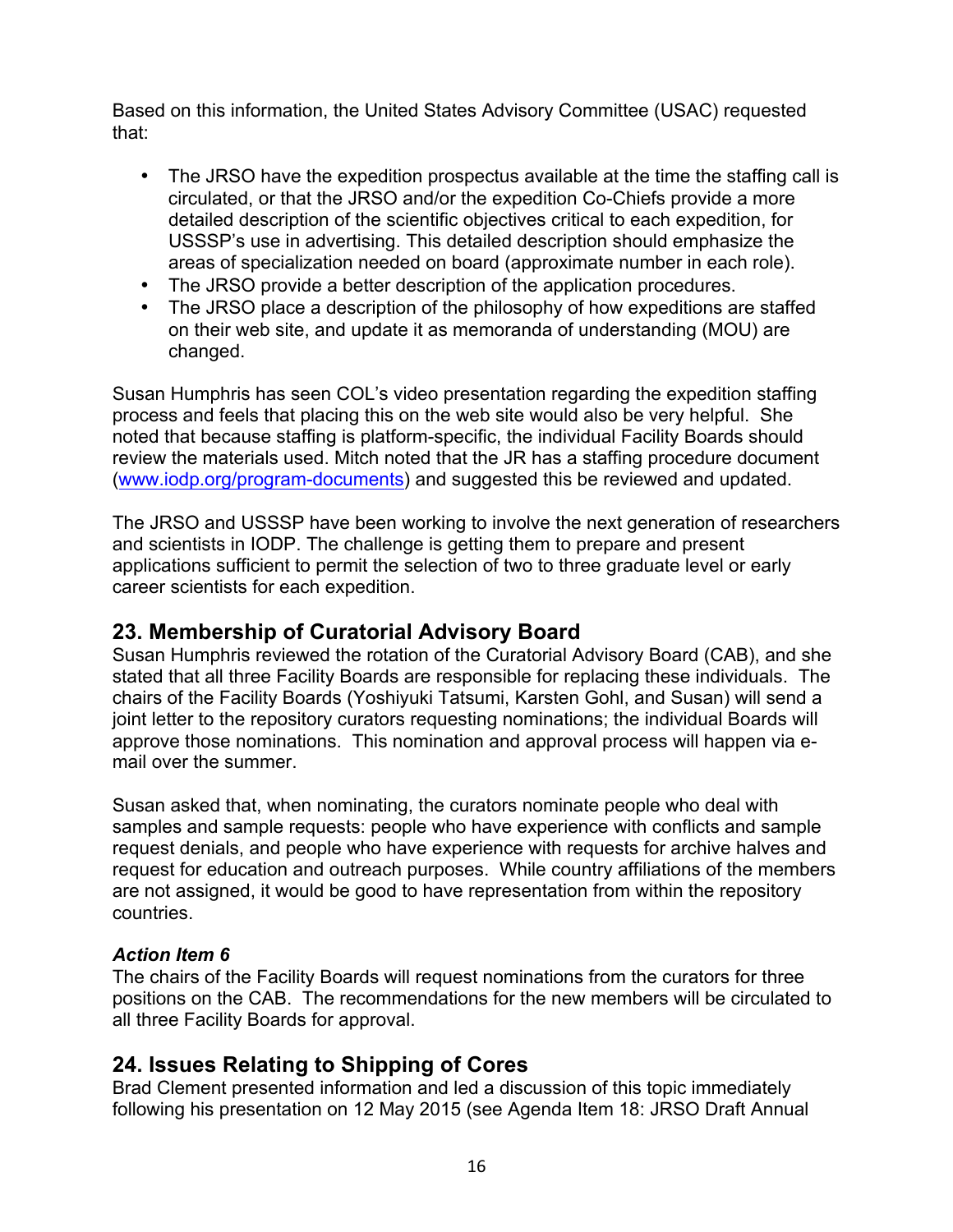Based on this information, the United States Advisory Committee (USAC) requested that:

- The JRSO have the expedition prospectus available at the time the staffing call is circulated, or that the JRSO and/or the expedition Co-Chiefs provide a more detailed description of the scientific objectives critical to each expedition, for USSSP's use in advertising. This detailed description should emphasize the areas of specialization needed on board (approximate number in each role).
- The JRSO provide a better description of the application procedures.
- The JRSO place a description of the philosophy of how expeditions are staffed on their web site, and update it as memoranda of understanding (MOU) are changed.

Susan Humphris has seen COL's video presentation regarding the expedition staffing process and feels that placing this on the web site would also be very helpful. She noted that because staffing is platform-specific, the individual Facility Boards should review the materials used. Mitch noted that the JR has a staffing procedure document (www.iodp.org/program-documents) and suggested this be reviewed and updated.

The JRSO and USSSP have been working to involve the next generation of researchers and scientists in IODP. The challenge is getting them to prepare and present applications sufficient to permit the selection of two to three graduate level or early career scientists for each expedition.

# **23. Membership of Curatorial Advisory Board**

Susan Humphris reviewed the rotation of the Curatorial Advisory Board (CAB), and she stated that all three Facility Boards are responsible for replacing these individuals. The chairs of the Facility Boards (Yoshiyuki Tatsumi, Karsten Gohl, and Susan) will send a joint letter to the repository curators requesting nominations; the individual Boards will approve those nominations. This nomination and approval process will happen via email over the summer.

Susan asked that, when nominating, the curators nominate people who deal with samples and sample requests: people who have experience with conflicts and sample request denials, and people who have experience with requests for archive halves and request for education and outreach purposes. While country affiliations of the members are not assigned, it would be good to have representation from within the repository countries.

### *Action Item 6*

The chairs of the Facility Boards will request nominations from the curators for three positions on the CAB. The recommendations for the new members will be circulated to all three Facility Boards for approval.

# **24. Issues Relating to Shipping of Cores**

Brad Clement presented information and led a discussion of this topic immediately following his presentation on 12 May 2015 (see Agenda Item 18: JRSO Draft Annual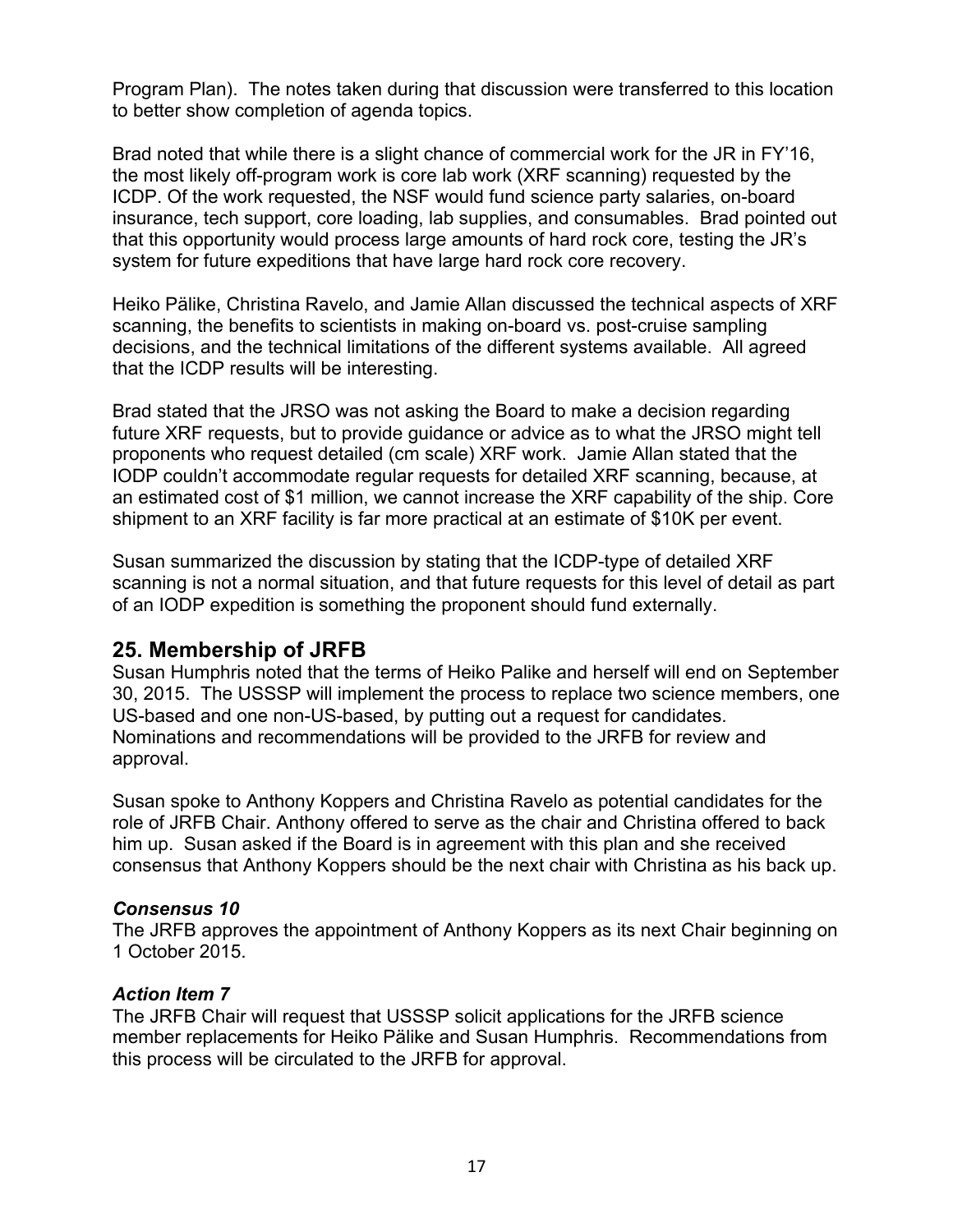Program Plan). The notes taken during that discussion were transferred to this location to better show completion of agenda topics.

Brad noted that while there is a slight chance of commercial work for the JR in FY'16, the most likely off-program work is core lab work (XRF scanning) requested by the ICDP. Of the work requested, the NSF would fund science party salaries, on-board insurance, tech support, core loading, lab supplies, and consumables. Brad pointed out that this opportunity would process large amounts of hard rock core, testing the JR's system for future expeditions that have large hard rock core recovery.

Heiko Pälike, Christina Ravelo, and Jamie Allan discussed the technical aspects of XRF scanning, the benefits to scientists in making on-board vs. post-cruise sampling decisions, and the technical limitations of the different systems available. All agreed that the ICDP results will be interesting.

Brad stated that the JRSO was not asking the Board to make a decision regarding future XRF requests, but to provide guidance or advice as to what the JRSO might tell proponents who request detailed (cm scale) XRF work. Jamie Allan stated that the IODP couldn't accommodate regular requests for detailed XRF scanning, because, at an estimated cost of \$1 million, we cannot increase the XRF capability of the ship. Core shipment to an XRF facility is far more practical at an estimate of \$10K per event.

Susan summarized the discussion by stating that the ICDP-type of detailed XRF scanning is not a normal situation, and that future requests for this level of detail as part of an IODP expedition is something the proponent should fund externally.

## **25. Membership of JRFB**

Susan Humphris noted that the terms of Heiko Palike and herself will end on September 30, 2015. The USSSP will implement the process to replace two science members, one US-based and one non-US-based, by putting out a request for candidates. Nominations and recommendations will be provided to the JRFB for review and approval.

Susan spoke to Anthony Koppers and Christina Ravelo as potential candidates for the role of JRFB Chair. Anthony offered to serve as the chair and Christina offered to back him up. Susan asked if the Board is in agreement with this plan and she received consensus that Anthony Koppers should be the next chair with Christina as his back up.

#### *Consensus 10*

The JRFB approves the appointment of Anthony Koppers as its next Chair beginning on 1 October 2015.

### *Action Item 7*

The JRFB Chair will request that USSSP solicit applications for the JRFB science member replacements for Heiko Pälike and Susan Humphris. Recommendations from this process will be circulated to the JRFB for approval.